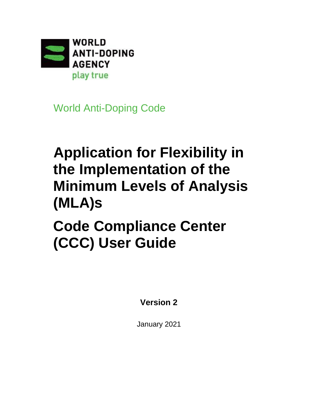

World Anti-Doping Code

# **Application for Flexibility in the Implementation of the Minimum Levels of Analysis (MLA)s**

**Code Compliance Center (CCC) User Guide**

**Version 2**

January 2021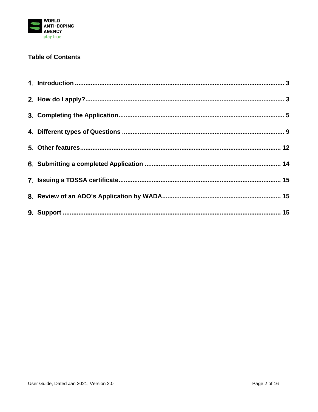

# **Table of Contents**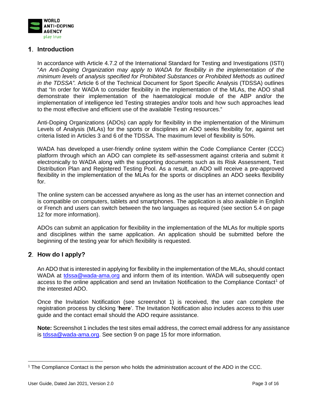

# <span id="page-2-0"></span>**Introduction**

In accordance with Article 4.7.2 of the International Standard for Testing and Investigations (ISTI) "*An Anti-Doping Organization may apply to WADA for flexibility in the implementation of the minimum levels of analysis specified for Prohibited Substances or Prohibited Methods as outlined in the TDSSA".* Article 6 of the Technical Document for Sport Specific Analysis (TDSSA) outlines that "In order for WADA to consider flexibility in the implementation of the MLAs, the ADO shall demonstrate their implementation of the haematological module of the ABP and/or the implementation of intelligence led Testing strategies and/or tools and how such approaches lead to the most effective and efficient use of the available Testing resources."

Anti-Doping Organizations (ADOs) can apply for flexibility in the implementation of the Minimum Levels of Analysis (MLAs) for the sports or disciplines an ADO seeks flexibility for, against set criteria listed in Articles 3 and 6 of the TDSSA. The maximum level of flexibility is 50%.

WADA has developed a user-friendly online system within the Code Compliance Center (CCC) platform through which an ADO can complete its self-assessment against criteria and submit it electronically to WADA along with the supporting documents such as its Risk Assessment, Test Distribution Plan and Registered Testing Pool. As a result, an ADO will receive a pre-approved flexibility in the implementation of the MLAs for the sports or disciplines an ADO seeks flexibility for.

The online system can be accessed anywhere as long as the user has an internet connection and is compatible on computers, tablets and smartphones. The application is also available in English or French and users can switch between the two languages as required (see section 5.4 on page 12 for more information).

ADOs can submit an application for flexibility in the implementation of the MLAs for multiple sports and disciplines within the same application. An application should be submitted before the beginning of the testing year for which flexibility is requested.

# <span id="page-2-1"></span>**How do I apply?**

An ADO that is interested in applying for flexibility in the implementation of the MLAs, should contact WADA at [tdssa@wada-ama.org](mailto:tdssa@wada-ama.org) and inform them of its intention. WADA will subsequently open access to the online application and send an Invitation Notification to the Compliance Contact<sup>[1](#page-2-2)</sup> of the interested ADO.

Once the Invitation Notification (see screenshot 1) is received, the user can complete the registration process by clicking '**here**'. The Invitation Notification also includes access to this user guide and the contact email should the ADO require assistance.

**Note:** Screenshot 1 includes the test sites email address, the correct email address for any assistance is [tdssa@wada-ama.org.](mailto:tdssa@wada-ama.org) See section 9 on page 15 for more information.

<span id="page-2-2"></span><sup>1</sup> The Compliance Contact is the person who holds the administration account of the ADO in the CCC.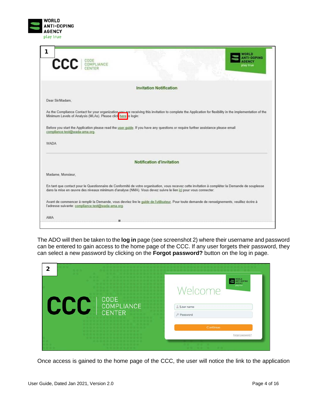

| 1                                                                                                                      | mrun                                                                                                                                                                                                                                                              |                  |
|------------------------------------------------------------------------------------------------------------------------|-------------------------------------------------------------------------------------------------------------------------------------------------------------------------------------------------------------------------------------------------------------------|------------------|
| <b>CCC</b> COMPLIANCE                                                                                                  | play true                                                                                                                                                                                                                                                         | -DOPING<br>ENIGY |
|                                                                                                                        | <b>Invitation Notification</b>                                                                                                                                                                                                                                    |                  |
|                                                                                                                        |                                                                                                                                                                                                                                                                   |                  |
| Dear Sir/Madam.                                                                                                        |                                                                                                                                                                                                                                                                   |                  |
| Minimum Levels of Analysis (MLAs). Please click here to login:                                                         | As the Compliance Contact for your organization you are receiving this invitation to complete the Application for flexibility in the implementation of the                                                                                                        |                  |
|                                                                                                                        | Before you start the Application please read the user quide. If you have any questions or require further assistance please email                                                                                                                                 |                  |
|                                                                                                                        |                                                                                                                                                                                                                                                                   |                  |
|                                                                                                                        |                                                                                                                                                                                                                                                                   |                  |
|                                                                                                                        | Notification d'invitation                                                                                                                                                                                                                                         |                  |
|                                                                                                                        |                                                                                                                                                                                                                                                                   |                  |
|                                                                                                                        | En tant que contact pour le Questionnaire de Conformité de votre organisation, vous recevez cette invitation à compléter la Demande de souplesse<br>dans la mise en œuvre des niveaux minimum d'analyse (NMA). Vous devez suivre le lien ici pour vous connecter: |                  |
| compliance test@wada-ama.org.<br><b>WADA</b><br>Madame, Monsieur,<br>l'adresse suivante: compliance.test@wada-ama.org. | Avant de commencer à remplir la Demande, vous devriez lire le quide de l'utilisateur. Pour toute demande de renseignements, veuillez écrire à                                                                                                                     |                  |

The ADO will then be taken to the **log in** page (see screenshot 2) where their username and password can be entered to gain access to the home page of the CCC. If any user forgets their password, they can select a new password by clicking on the **Forgot password?** button on the log in page.

| $\mathbf{2}$                                      |                                                                                         |
|---------------------------------------------------|-----------------------------------------------------------------------------------------|
| <b>CODE</b><br><b>COMPLIANCE</b><br><b>CENTER</b> | WORLD<br>ANTI-DOPING<br><b>AGENCY</b><br>play true<br>Welcome<br>Lyser name<br>Password |
|                                                   | Continue<br>Forgot password?                                                            |

Once access is gained to the home page of the CCC, the user will notice the link to the application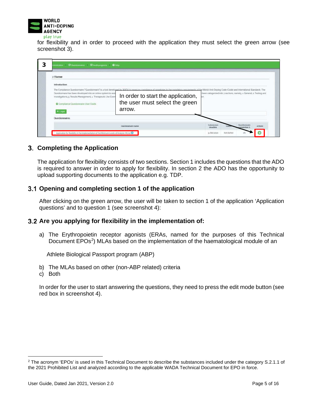

for flexibility and in order to proceed with the application they must select the green arrow (see screenshot 3).

| Introduction                                                                                                                                                            |                                                                                                                                                                                                                                                                                                                                                                              |  |  |  |  |
|-------------------------------------------------------------------------------------------------------------------------------------------------------------------------|------------------------------------------------------------------------------------------------------------------------------------------------------------------------------------------------------------------------------------------------------------------------------------------------------------------------------------------------------------------------------|--|--|--|--|
| Questionnaire has been developed into an online system to assk<br>Investigations; 3. Results Management; 4. Therapeutic Use Exen<br>Compliance Questionnaire User Guide | The Compliance Questionnaire ("Questionnaire") is a tool developed by WADA to measure compliance of signatories to the mandatory requirements of the World Anti-Doping Code (Code) and International Standards. The<br>been categorized into 7 sections, namely, 1 General, 2. Testing and<br>In order to start the application,<br>the user must select the green<br>arrow. |  |  |  |  |
| $+$ Legal                                                                                                                                                               |                                                                                                                                                                                                                                                                                                                                                                              |  |  |  |  |
| Questionnaires                                                                                                                                                          |                                                                                                                                                                                                                                                                                                                                                                              |  |  |  |  |

#### <span id="page-4-0"></span>**Completing the Application**

The application for flexibility consists of two sections. Section 1 includes the questions that the ADO is required to answer in order to apply for flexibility. In section 2 the ADO has the opportunity to upload supporting documents to the application e.g. TDP.

#### **Opening and completing section 1 of the application**

After clicking on the green arrow, the user will be taken to section 1 of the application 'Application questions' and to question 1 (see screenshot 4):

#### **Are you applying for flexibility in the implementation of:**

a) The Erythropoietin receptor agonists (ERAs, named for the purposes of this Technical Document EPOs<sup>[2](#page-4-1)</sup>) MLAs based on the implementation of the haematological module of an

Athlete Biological Passport program (ABP)

- b) The MLAs based on other (non-ABP related) criteria
- c) Both

In order for the user to start answering the questions, they need to press the edit mode button (see red box in screenshot 4).

<span id="page-4-1"></span><sup>&</sup>lt;sup>2</sup> The acronym 'EPOs' is used in this Technical Document to describe the substances included under the category S.2.1.1 of the 2021 Prohibited List and analyzed according to the applicable WADA Technical Document for EPO in force.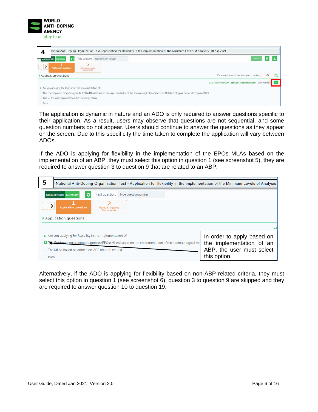

| ational Anti-Doping Organization Test - Application for flexibility in the implementation of the Minimum Levels of Analysis (MLAs) 2021<br>4              |                                                         |
|-----------------------------------------------------------------------------------------------------------------------------------------------------------|---------------------------------------------------------|
| $\mathbf{c}$<br>Find question:<br>Type question number<br>Summar<br>Questionnaire                                                                         |                                                         |
| →<br><b>Application questions</b><br>Unload required<br>Documents:                                                                                        |                                                         |
| Application questions                                                                                                                                     | Estimated time for section 5-10 minutes<br>$0\%$        |
|                                                                                                                                                           | a Locked by NADO Test User (nado.testuser)<br>Edit mode |
| Are you applying for flexibility in the implementation of:                                                                                                |                                                         |
| The Erythropoietin receptor agonists (EPOs) MLAs based on the implementation of the haematological module of an Athlete Biological Passport program (ABP) |                                                         |
| The MLAs based on other (non-ABP related) criteria                                                                                                        |                                                         |
| Both.                                                                                                                                                     |                                                         |

The application is dynamic in nature and an ADO is only required to answer questions specific to their application. As a result, users may observe that questions are not sequential, and some question numbers do not appear. Users should continue to answer the questions as they appear on the screen. Due to this specificity the time taken to complete the application will vary between ADOs.

If the ADO is applying for flexibility in the implementation of the EPOs MLAs based on the implementation of an ABP, they must select this option in question 1 (see screenshot 5), they are required to answer question 3 to question 9 that are related to an ABP.

| 5      | National Anti-Doping Organization Test - Application for flexibility in the implementation of the Minimum Levels of Analysis        |              |  |  |  |  |  |
|--------|-------------------------------------------------------------------------------------------------------------------------------------|--------------|--|--|--|--|--|
|        | Find question:<br>G<br>Type question number<br>Questionnaire Summary                                                                |              |  |  |  |  |  |
|        | <b>Application questions</b><br><b>Upload required</b><br><b>Documents</b>                                                          |              |  |  |  |  |  |
|        | Application questions                                                                                                               |              |  |  |  |  |  |
|        |                                                                                                                                     |              |  |  |  |  |  |
|        | 1. Are you applying for flexibility in the implementation of:<br>In order to apply based on                                         |              |  |  |  |  |  |
|        | the implementation of an<br>External proposition receptor agonists (EPOs) MLAs based on the implementation of the haematological mo |              |  |  |  |  |  |
|        | ABP, the user must select<br>◯ The MLAs based on other (non-ABP related) criteria                                                   |              |  |  |  |  |  |
| ◯ Both |                                                                                                                                     | this option. |  |  |  |  |  |

Alternatively, if the ADO is applying for flexibility based on non-ABP related criteria, they must select this option in question 1 (see screenshot 6), question 3 to question 9 are skipped and they are required to answer question 10 to question 19.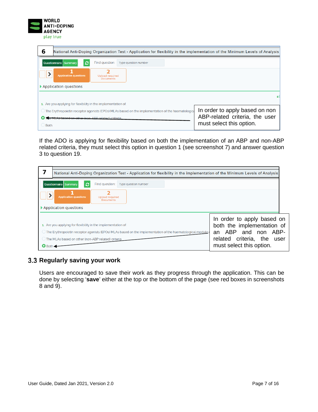

| 6               |                                                                                                                                                 |                                            | National Anti-Doping Organization Test - Application for flexibility in the implementation of the Minimum Levels of Analysis |  |  |  |
|-----------------|-------------------------------------------------------------------------------------------------------------------------------------------------|--------------------------------------------|------------------------------------------------------------------------------------------------------------------------------|--|--|--|
|                 | $\boldsymbol{\varepsilon}$<br>Questionnaire Summary                                                                                             | Find question:                             | Type question number                                                                                                         |  |  |  |
|                 | <b>Application questions</b>                                                                                                                    | <b>Upload required</b><br><b>Documents</b> |                                                                                                                              |  |  |  |
|                 | Application questions                                                                                                                           |                                            |                                                                                                                              |  |  |  |
|                 |                                                                                                                                                 |                                            |                                                                                                                              |  |  |  |
|                 | 1. Are you applying for flexibility in the implementation of:                                                                                   |                                            |                                                                                                                              |  |  |  |
|                 | In order to apply based on non<br>$\bigcirc$ The Erythropoietin receptor agonists (EPOs) MLAs based on the implementation of the haematological |                                            |                                                                                                                              |  |  |  |
|                 | ABP-related criteria, the user<br>At As based on other (non-ARP related) criteria                                                               |                                            |                                                                                                                              |  |  |  |
| $\bigcirc$ Both |                                                                                                                                                 |                                            | must select this option.                                                                                                     |  |  |  |

If the ADO is applying for flexibility based on both the implementation of an ABP and non-ABP related criteria, they must select this option in question 1 (see screenshot 7) and answer question 3 to question 19.

|                                                                                                                                                                                                                                                                                                                                                                                                                    |  |  |  |  |  | National Anti-Doping Organization Test - Application for flexibility in the implementation of the Minimum Levels of Analysis |  |
|--------------------------------------------------------------------------------------------------------------------------------------------------------------------------------------------------------------------------------------------------------------------------------------------------------------------------------------------------------------------------------------------------------------------|--|--|--|--|--|------------------------------------------------------------------------------------------------------------------------------|--|
| C<br>Find question:<br>Questionnaire Summary<br>Type question number                                                                                                                                                                                                                                                                                                                                               |  |  |  |  |  |                                                                                                                              |  |
| <b>Application questions</b><br><b>Upload required</b><br><b>Documents</b>                                                                                                                                                                                                                                                                                                                                         |  |  |  |  |  |                                                                                                                              |  |
| ▶ Application questions                                                                                                                                                                                                                                                                                                                                                                                            |  |  |  |  |  |                                                                                                                              |  |
| In order to apply based on<br>both the implementation of<br>1. Are you applying for flexibility in the implementation of:<br>an ABP and non ABP-<br>$\bigcirc$ The Erythropoietin receptor agonists (EPOs) MLAs based on the implementation of the haematological module<br>related criteria, the<br>user<br>$\bigcirc$ The MLAs based on other (non-ABP related) criteria<br>must select this option.<br>$O$ Both |  |  |  |  |  |                                                                                                                              |  |

# **Regularly saving your work**

Users are encouraged to save their work as they progress through the application. This can be done by selecting '**save**' either at the top or the bottom of the page (see red boxes in screenshots 8 and 9).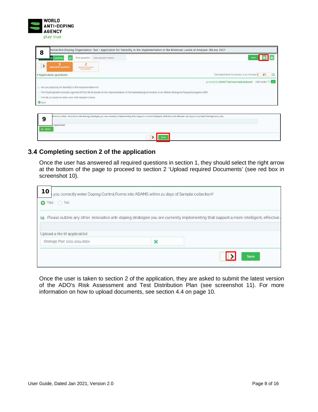

| tional Anti-Doping Organization Test - Application for flexibility in the implementation of the Minimum Levels of Analysis (MLAs) 2021                                            |                                                             |  |  |  |  |  |
|-----------------------------------------------------------------------------------------------------------------------------------------------------------------------------------|-------------------------------------------------------------|--|--|--|--|--|
| 8<br>ø<br>Find question.<br>Type question number<br>Summary<br>ire l                                                                                                              | пе                                                          |  |  |  |  |  |
| 2<br>$\,$<br><b>Application questions</b><br>Uptoad required.<br><b>Documents</b>                                                                                                 |                                                             |  |  |  |  |  |
| Application questions                                                                                                                                                             | Estimated time for section: 5-10 minutes<br>$5\%$           |  |  |  |  |  |
|                                                                                                                                                                                   | Edit mode On<br>a Locked by NADO Test User (nado, testuser) |  |  |  |  |  |
| 1. Are you applying for flexibility in the implementation of.                                                                                                                     |                                                             |  |  |  |  |  |
| The Erythropoletin receptor agonists (EPOs) MLAs based on the implementation of the haematological module of an Athlete Biological Passport program (ABP)                         |                                                             |  |  |  |  |  |
| The MLAs based on other (non-ABP related) criteria                                                                                                                                |                                                             |  |  |  |  |  |
| <b>O</b> Both                                                                                                                                                                     |                                                             |  |  |  |  |  |
|                                                                                                                                                                                   |                                                             |  |  |  |  |  |
| tline any other innovative anti-doping strategies you are currently implementing that support a more intelligent, effective and efficient use of your available Testing resources |                                                             |  |  |  |  |  |

| C | tline any other innovative anti-doping strategies you are currently implementing that support a more intelligent, effective and efficient use of your available Testing resources |  |
|---|-----------------------------------------------------------------------------------------------------------------------------------------------------------------------------------|--|
|   |                                                                                                                                                                                   |  |

#### **Completing section 2 of the application**

Once the user has answered all required questions in section 1, they should select the right arrow at the bottom of the page to proceed to section 2 'Upload required Documents' (see red box in screenshot 10).

| 10<br>you correctly enter Doping Control Forms into ADAMS within 21 days of Sample collection? |                                                                                                                                          |
|------------------------------------------------------------------------------------------------|------------------------------------------------------------------------------------------------------------------------------------------|
| O Yes ○ No                                                                                     |                                                                                                                                          |
|                                                                                                | 19. Please outline any other innovative anti-doping strategies you are currently implementing that support a more intelligent, effective |
| Upload a file (if applicable)                                                                  |                                                                                                                                          |
| Strategic Plan 2021-2024.docx                                                                  |                                                                                                                                          |
|                                                                                                | <b>Save</b>                                                                                                                              |

Once the user is taken to section 2 of the application, they are asked to submit the latest version of the ADO's Risk Assessment and Test Distribution Plan (see screenshot 11). For more information on how to upload documents, see section 4.4 on page 10.

 $\overline{\phantom{0}}$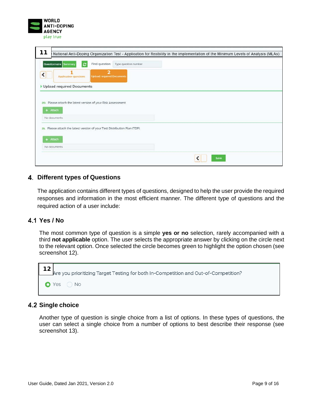| WORLD              |
|--------------------|
| <b>ANTI-DOPING</b> |
| <b>AGENCY</b>      |
| play true          |

| 11<br>National Anti-Doping Organization Test - Application for flexibility in the implementation of the Minimum Levels of Analysis (MLAs) |      |
|-------------------------------------------------------------------------------------------------------------------------------------------|------|
| ø<br>Find question:<br>Questionnaire<br>Type question number.<br>Summary                                                                  |      |
| $\overline{\mathbf{z}}$<br><b>Upload required Documents</b><br><b>Application questions</b>                                               |      |
| Upload required Documents                                                                                                                 |      |
| 20. Please attach the latest version of your Risk Assessment.                                                                             |      |
| $+$ Attach                                                                                                                                |      |
| No documents                                                                                                                              |      |
| 21. Please attach the latest version of your Test Distribution Plan (TDP).                                                                |      |
| $+$ Attach                                                                                                                                |      |
| No documents                                                                                                                              |      |
|                                                                                                                                           | Save |

#### <span id="page-8-0"></span>**Different types of Questions**

The application contains different types of questions, designed to help the user provide the required responses and information in the most efficient manner. The different type of questions and the required action of a user include:

#### **Yes / No**

The most common type of question is a simple **yes or no** selection, rarely accompanied with a third **not applicable** option. The user selects the appropriate answer by clicking on the circle next to the relevant option. Once selected the circle becomes green to highlight the option chosen (see screenshot 12).



#### **Single choice**

Another type of question is single choice from a list of options. In these types of questions, the user can select a single choice from a number of options to best describe their response (see screenshot 13).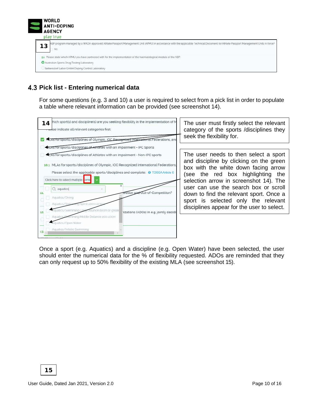

# **Pick list - Entering numerical data**

For some questions (e.g. 3 and 10) a user is required to select from a pick list in order to populate a table where relevant information can be provided (see screenshot 14).



Once a sport (e.g. Aquatics) and a discipline (e.g. Open Water) have been selected, the user should enter the numerical data for the % of flexibility requested. ADOs are reminded that they can only request up to 50% flexibility of the existing MLA (see screenshot 15).

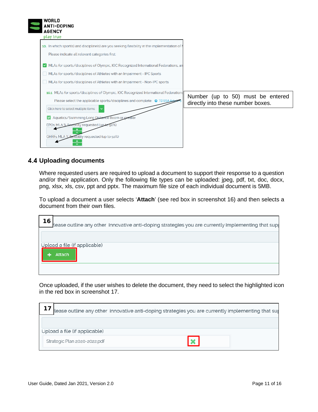| <b>WORLD</b><br><b>ANTI-DOPING</b><br><b>AGENCY</b><br>play true                                                                                                                                                                               |                                                                        |
|------------------------------------------------------------------------------------------------------------------------------------------------------------------------------------------------------------------------------------------------|------------------------------------------------------------------------|
| 10. In which sport(s) and discipline(s) are you seeking flexibility in the implementation of N<br>Please indicate all relevant categories first:                                                                                               |                                                                        |
| MLAs for sports/disciplines of Olympic, IOC Recognized International Federations, an<br>MLAs for sports/disciplines of Athletes with an Impairment - IPC Sports<br>MLAs for sports/disciplines of Athletes with an Impairment - Non-IPC sports |                                                                        |
| 10.1 MLAs for sports/disciplines of Olympic, IOC Recognized International Federations<br>Please select the applicable sports/disciplines and complete: @ TDSSA Article<br>Click here to select multiple items                                  | Number (up to 50) must be entered<br>directly into these number boxes. |
| Aquatics/Swimming Long Distance 800m or greater<br>EPOs MLA % flexibility requested (up to 50%)<br>GHRFs MLA % flexibility requested (up to 50%)                                                                                               |                                                                        |

#### **Uploading documents**

Where requested users are required to upload a document to support their response to a question and/or their application. Only the following file types can be uploaded: jpeg, pdf, txt, doc, docx, png, xlsx, xls, csv, ppt and pptx. The maximum file size of each individual document is 5MB.

To upload a document a user selects '**Attach**' (see red box in screenshot 16) and then selects a document from their own files.

| 16<br>lease outline any other innovative anti-doping strategies you are currently implementing that sup |
|---------------------------------------------------------------------------------------------------------|
| Upload a file (if applicable)                                                                           |
| <b>Attach</b>                                                                                           |
|                                                                                                         |

Once uploaded, if the user wishes to delete the document, they need to select the highlighted icon in the red box in screenshot 17.

|                               | lease outline any other innovative anti-doping strategies you are currently implementing that sup |  |
|-------------------------------|---------------------------------------------------------------------------------------------------|--|
|                               |                                                                                                   |  |
| Upload a file (if applicable) |                                                                                                   |  |
| Strategic Plan 2020-2022.pdf  |                                                                                                   |  |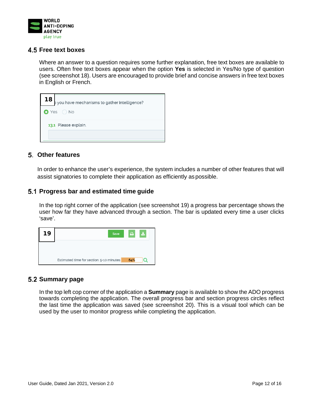

#### **Free text boxes**

Where an answer to a question requires some further explanation, free text boxes are available to users. Often free text boxes appear when the option **Yes** is selected in Yes/No type of question (see screenshot 18). Users are encouraged to provide brief and concise answers in free text boxes in English or French.

| 18 <sub>1</sub><br>b you have mechanisms to gather intelligence? |
|------------------------------------------------------------------|
| $\bullet$ Yes $\circ$ No                                         |
| 13.1 Please explain.                                             |
|                                                                  |

#### <span id="page-11-0"></span>**Other features**

In order to enhance the user's experience, the system includes a number of other features that will assist signatories to complete their application as efficiently as possible.

#### **Progress bar and estimated time guide**

In the top right corner of the application (see screenshot 19) a progress bar percentage shows the user how far they have advanced through a section. The bar is updated every time a user clicks 'save'.



#### **Summary page**

In the top left cop corner of the application a **Summary** page is available to show the ADO progress towards completing the application. The overall progress bar and section progress circles reflect the last time the application was saved (see screenshot 20). This is a visual tool which can be used by the user to monitor progress while completing the application.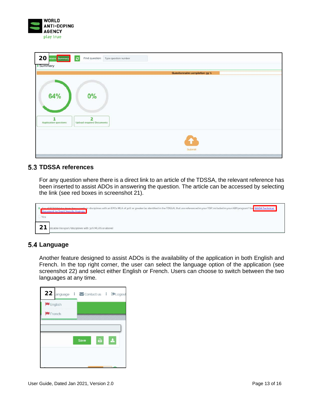

| 20 maire Summary<br>Summary  | $ \boldsymbol{z} $<br>Find question: Type question number   |
|------------------------------|-------------------------------------------------------------|
|                              | Questionnaire completion 59 %                               |
|                              |                                                             |
| <b>64%</b>                   | 0%                                                          |
|                              |                                                             |
| <b>Application questions</b> | $\overline{\mathbf{2}}$<br><b>Upload required Documents</b> |
|                              |                                                             |
|                              | Submit                                                      |

#### **TDSSA references**

For any question where there is a direct link to an article of the TDSSA, the relevant reference has been inserted to assist ADOs in answering the question. The article can be accessed by selecting the link (see red boxes in screenshot 21).

|     | 8. Are all PTP Athletes from those sports or disciplines with an EPOs MLA of 30% or greater (as identified in the TDSSA), that are referenced in your TDP, included in your ABP program? See WADA Technical.<br>Document for Sport Specific Analysis. |
|-----|-------------------------------------------------------------------------------------------------------------------------------------------------------------------------------------------------------------------------------------------------------|
| Yes |                                                                                                                                                                                                                                                       |
|     | plicable (no sport/disciplines with 30% MLA% or above)                                                                                                                                                                                                |

#### **Language**

Another feature designed to assist ADOs is the availability of the application in both English and French. In the top right corner, the user can select the language option of the application (see screenshot 22) and select either English or French. Users can choose to switch between the two languages at any time.

|         |  | 22 anguage  <br>Sontact us   PLogout |    |
|---------|--|--------------------------------------|----|
| English |  |                                      |    |
| French  |  |                                      |    |
|         |  |                                      |    |
|         |  | ₿.<br>Save                           | s, |
|         |  |                                      |    |
|         |  |                                      |    |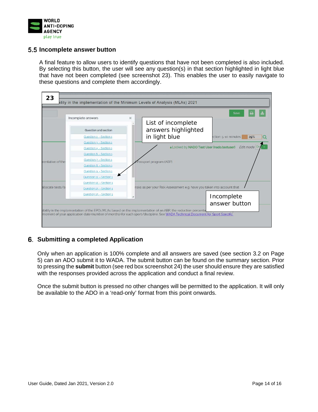

#### **Incomplete answer button**

A final feature to allow users to identify questions that have not been completed is also included. By selecting this button, the user will see any question(s) in that section highlighted in light blue that have not been completed (see screenshot 23). This enables the user to easily navigate to these questions and complete them accordingly.



#### <span id="page-13-0"></span>**Submitting a completed Application**

Only when an application is 100% complete and all answers are saved (see section 3.2 on Page 5) can an ADO submit it to WADA. The submit button can be found on the summary section. Prior to pressing the **submit** button (see red box screenshot 24) the user should ensure they are satisfied with the responses provided across the application and conduct a final review.

Once the submit button is pressed no other changes will be permitted to the application. It will only be available to the ADO in a 'read-only' format from this point onwards.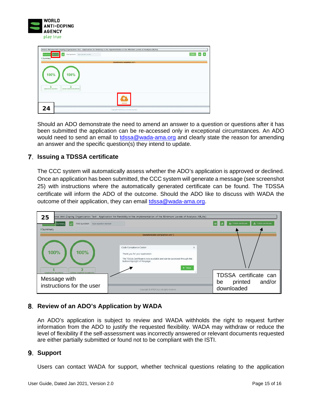

| $\circ$<br>Find question Type question number<br>Survivory<br><b>I</b> -Summary | NADO National Anti-Doping Organization Test - Application for flexibility in the implementation of the Minimum Levels of Analysis (MLAs) | $\sim$<br>a. |
|---------------------------------------------------------------------------------|------------------------------------------------------------------------------------------------------------------------------------------|--------------|
|                                                                                 | Questionnaire completion 100%                                                                                                            |              |
| 100%<br>100%<br>2<br>Upload required Documents<br>Application gentisers         |                                                                                                                                          |              |
|                                                                                 | <b>Submitt</b>                                                                                                                           |              |
| 24                                                                              | Copyright @ WASA vocy All rights reserved.                                                                                               |              |

Should an ADO demonstrate the need to amend an answer to a question or questions after it has been submitted the application can be re-accessed only in exceptional circumstances. An ADO would need to send an email to [tdssa@wada-ama.org](mailto:tdssa@wada-ama.org) and clearly state the reason for amending an answer and the specific question(s) they intend to update.

#### <span id="page-14-0"></span>**Issuing a TDSSA certificate**

The CCC system will automatically assess whether the ADO's application is approved or declined. Once an application has been submitted, the CCC system will generate a message (see screenshot 25) with instructions where the automatically generated certificate can be found. The TDSSA certificate will inform the ADO of the outcome. Should the ADO like to discuss with WADA the outcome of their application, they can email [tdssa@wada-ama.org.](mailto:tdssa@wada-ama.org)

| onal Anti-Doping Organization Test - Application for flexibility in the implementation of the Minimum Levels of Analysis (MLAs)<br>25 |                                                                                                                                                                                                  |                                                                |  |  |  |  |
|---------------------------------------------------------------------------------------------------------------------------------------|--------------------------------------------------------------------------------------------------------------------------------------------------------------------------------------------------|----------------------------------------------------------------|--|--|--|--|
| Find question: Type question number<br>ЮI<br>Summar                                                                                   |                                                                                                                                                                                                  | 上 TDSSA pertificate<br><b>A TDSSA certificate</b>              |  |  |  |  |
| Summary                                                                                                                               |                                                                                                                                                                                                  |                                                                |  |  |  |  |
|                                                                                                                                       | Questionnaire completion 100 %                                                                                                                                                                   |                                                                |  |  |  |  |
| <b>100%</b><br>100%                                                                                                                   | Code Compliance Center<br>×<br>Thank you for your application.<br>The TDSSA Certificate is now available and can be accessed through the<br>buttons top right of this page.<br>$\mathbf x$ Close |                                                                |  |  |  |  |
| <b>Notead required Decements</b><br>Apotication questions<br>Message with<br>instructions for the user                                | Copyright C WADA 8017 All rights reserved.                                                                                                                                                       | TDSSA certificate can<br>and/or<br>printed<br>be<br>downloaded |  |  |  |  |

# <span id="page-14-1"></span>**Review of an ADO's Application by WADA**

An ADO's application is subject to review and WADA withholds the right to request further information from the ADO to justify the requested flexibility. WADA may withdraw or reduce the level of flexibility if the self-assessment was incorrectly answered or relevant documents requested are either partially submitted or found not to be compliant with the ISTI.

#### <span id="page-14-2"></span>**Support**

Users can contact WADA for support, whether technical questions relating to the application